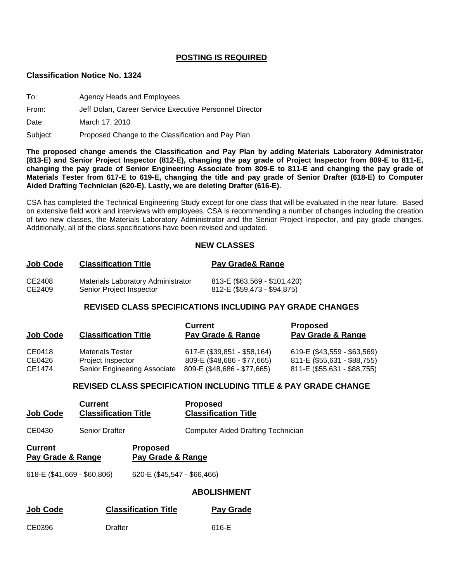### **POSTING IS REQUIRED**

#### **Classification Notice No. 1324**

To: Agency Heads and Employees

#### From: Jeff Dolan, Career Service Executive Personnel Director

Date: March 17, 2010

Subject: Proposed Change to the Classification and Pay Plan

**The proposed change amends the Classification and Pay Plan by adding Materials Laboratory Administrator (813-E) and Senior Project Inspector (812-E), changing the pay grade of Project Inspector from 809-E to 811-E, changing the pay grade of Senior Engineering Associate from 809-E to 811-E and changing the pay grade of Materials Tester from 617-E to 619-E, changing the title and pay grade of Senior Drafter (618-E) to Computer Aided Drafting Technician (620-E). Lastly, we are deleting Drafter (616-E).** 

CSA has completed the Technical Engineering Study except for one class that will be evaluated in the near future. Based on extensive field work and interviews with employees, CSA is recommending a number of changes including the creation of two new classes, the Materials Laboratory Administrator and the Senior Project Inspector, and pay grade changes. Additionally, all of the class specifications have been revised and updated.

### **NEW CLASSES**

| Job Code | <b>Classification Title</b>        | Pay Grade & Range            |
|----------|------------------------------------|------------------------------|
| CE2408   | Materials Laboratory Administrator | 813-E (\$63,569 - \$101,420) |
| CE2409   | Senior Project Inspector           | 812-E (\$59,473 - \$94,875)  |

### **REVISED CLASS SPECIFICATIONS INCLUDING PAY GRADE CHANGES**

| <b>Job Code</b> | <b>Classification Title</b>  | <b>Current</b><br>Pay Grade & Range | <b>Proposed</b><br>Pay Grade & Range |
|-----------------|------------------------------|-------------------------------------|--------------------------------------|
| CE0418          | <b>Materials Tester</b>      | 617-E (\$39,851 - \$58,164)         | 619-E (\$43,559 - \$63,569)          |
| CE0426          | Project Inspector            | 809-E (\$48,686 - \$77,665)         | 811-E (\$55,631 - \$88,755)          |
| CE1474          | Senior Engineering Associate | 809-E (\$48,686 - \$77,665)         | 811-E (\$55,631 - \$88,755)          |

### **REVISED CLASS SPECIFICATION INCLUDING TITLE & PAY GRADE CHANGE**

| <b>Job Code</b>                     | <b>Current</b><br><b>Classification Title</b> |                                      | <b>Proposed</b><br><b>Classification Title</b> |
|-------------------------------------|-----------------------------------------------|--------------------------------------|------------------------------------------------|
| CE0430                              | <b>Senior Drafter</b>                         |                                      | <b>Computer Aided Drafting Technician</b>      |
| <b>Current</b><br>Pay Grade & Range |                                               | <b>Proposed</b><br>Pay Grade & Range |                                                |
| 618-E (\$41,669 - \$60,806)         |                                               | 620-E (\$45,547 - \$66,466)          |                                                |
|                                     |                                               |                                      | <b>ABOLISHMENT</b>                             |
| <b>Job Code</b>                     |                                               | <b>Classification Title</b>          | Pay Grade                                      |

CE0396 Drafter 616-E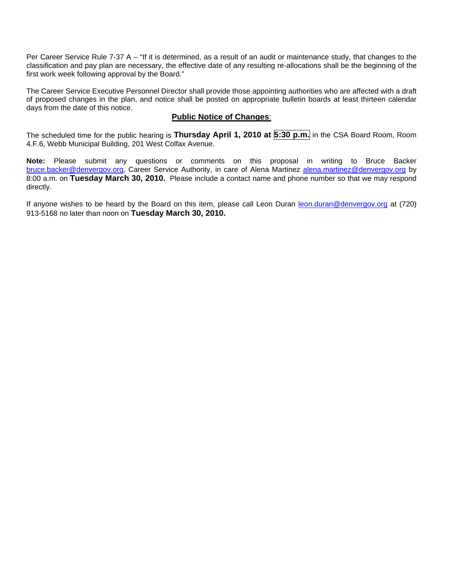Per Career Service Rule 7-37 A – "If it is determined, as a result of an audit or maintenance study, that changes to the classification and pay plan are necessary, the effective date of any resulting re-allocations shall be the beginning of the first work week following approval by the Board."

The Career Service Executive Personnel Director shall provide those appointing authorities who are affected with a draft of proposed changes in the plan, and notice shall be posted on appropriate bulletin boards at least thirteen calendar days from the date of this notice.

#### **Public Notice of Changes**:

The scheduled time for the public hearing is **Thursday April 1, 2010 at 5:30 p.m.** in the CSA Board Room, Room 4.F.6, Webb Municipal Building, 201 West Colfax Avenue.

**Note:** Please submit any questions or comments on this proposal in writing to Bruce Backer [bruce.backer@denvergov.org,](mailto:bruce.backer@denvergov.org) Career Service Authority, in care of Alena Martinez [alena.martinez@denvergov.org](mailto:alena.martinez@denvergov.org) by 8:00 a.m. on **Tuesday March 30, 2010.** Please include a contact name and phone number so that we may respond directly.

If anyone wishes to be heard by the Board on this item, please call Leon Duran [leon.duran@denvergov.org](mailto:leon.duran@denvergov.org) at (720) 913-5168 no later than noon on **Tuesday March 30, 2010.**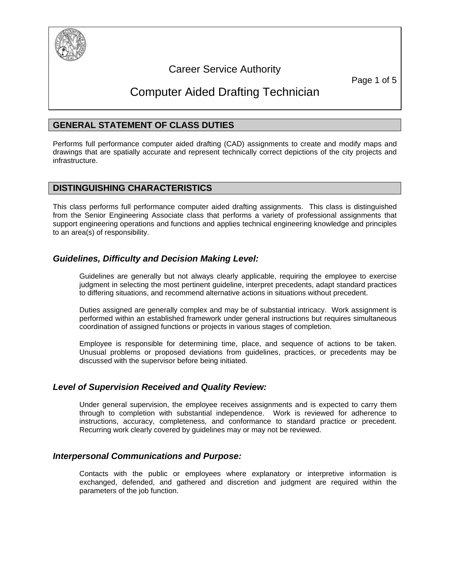

## Career Service Authority

Page 1 of 5

## Computer Aided Drafting Technician

### **GENERAL STATEMENT OF CLASS DUTIES**

Performs full performance computer aided drafting (CAD) assignments to create and modify maps and drawings that are spatially accurate and represent technically correct depictions of the city projects and infrastructure.

### **DISTINGUISHING CHARACTERISTICS**

This class performs full performance computer aided drafting assignments. This class is distinguished from the Senior Engineering Associate class that performs a variety of professional assignments that support engineering operations and functions and applies technical engineering knowledge and principles to an area(s) of responsibility.

### *Guidelines, Difficulty and Decision Making Level:*

Guidelines are generally but not always clearly applicable, requiring the employee to exercise judgment in selecting the most pertinent guideline, interpret precedents, adapt standard practices to differing situations, and recommend alternative actions in situations without precedent.

Duties assigned are generally complex and may be of substantial intricacy. Work assignment is performed within an established framework under general instructions but requires simultaneous coordination of assigned functions or projects in various stages of completion.

Employee is responsible for determining time, place, and sequence of actions to be taken. Unusual problems or proposed deviations from guidelines, practices, or precedents may be discussed with the supervisor before being initiated.

### *Level of Supervision Received and Quality Review:*

Under general supervision, the employee receives assignments and is expected to carry them through to completion with substantial independence. Work is reviewed for adherence to instructions, accuracy, completeness, and conformance to standard practice or precedent. Recurring work clearly covered by guidelines may or may not be reviewed.

### *Interpersonal Communications and Purpose:*

Contacts with the public or employees where explanatory or interpretive information is exchanged, defended, and gathered and discretion and judgment are required within the parameters of the job function.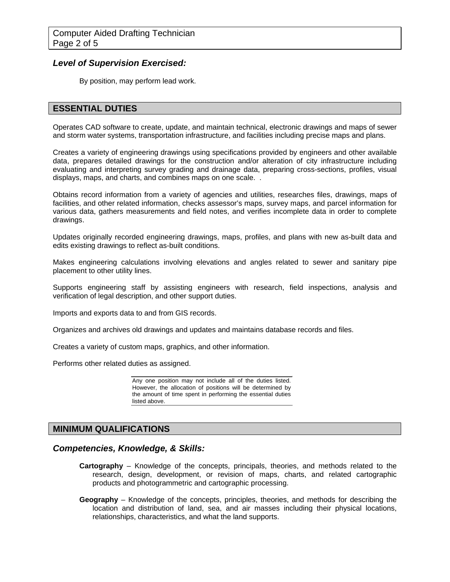### *Level of Supervision Exercised:*

By position, may perform lead work.

### **ESSENTIAL DUTIES**

Operates CAD software to create, update, and maintain technical, electronic drawings and maps of sewer and storm water systems, transportation infrastructure, and facilities including precise maps and plans.

Creates a variety of engineering drawings using specifications provided by engineers and other available data, prepares detailed drawings for the construction and/or alteration of city infrastructure including evaluating and interpreting survey grading and drainage data, preparing cross-sections, profiles, visual displays, maps, and charts, and combines maps on one scale. .

Obtains record information from a variety of agencies and utilities, researches files, drawings, maps of facilities, and other related information, checks assessor's maps, survey maps, and parcel information for various data, gathers measurements and field notes, and verifies incomplete data in order to complete drawings.

Updates originally recorded engineering drawings, maps, profiles, and plans with new as-built data and edits existing drawings to reflect as-built conditions.

Makes engineering calculations involving elevations and angles related to sewer and sanitary pipe placement to other utility lines.

Supports engineering staff by assisting engineers with research, field inspections, analysis and verification of legal description, and other support duties.

Imports and exports data to and from GIS records.

Organizes and archives old drawings and updates and maintains database records and files.

Creates a variety of custom maps, graphics, and other information.

Performs other related duties as assigned.

Any one position may not include all of the duties listed. However, the allocation of positions will be determined by the amount of time spent in performing the essential duties listed above.

### **MINIMUM QUALIFICATIONS**

### *Competencies, Knowledge, & Skills:*

- **Cartography**  Knowledge of the concepts, principals, theories, and methods related to the research, design, development, or revision of maps, charts, and related cartographic products and photogrammetric and cartographic processing.
- **Geography**  Knowledge of the concepts, principles, theories, and methods for describing the location and distribution of land, sea, and air masses including their physical locations, relationships, characteristics, and what the land supports.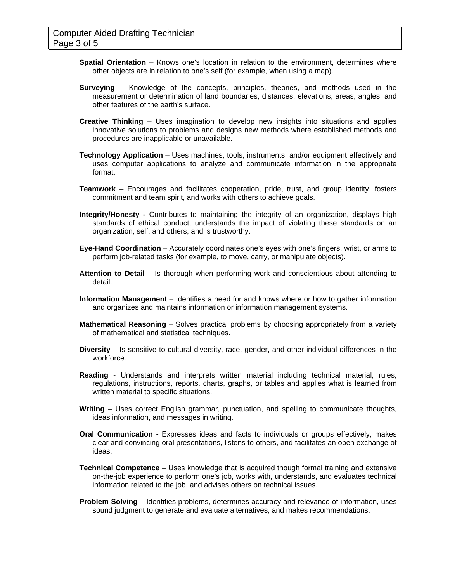- **Spatial Orientation** Knows one's location in relation to the environment, determines where other objects are in relation to one's self (for example, when using a map).
- **Surveying**  Knowledge of the concepts, principles, theories, and methods used in the measurement or determination of land boundaries, distances, elevations, areas, angles, and other features of the earth's surface.
- **Creative Thinking** Uses imagination to develop new insights into situations and applies innovative solutions to problems and designs new methods where established methods and procedures are inapplicable or unavailable.
- **Technology Application** Uses machines, tools, instruments, and/or equipment effectively and uses computer applications to analyze and communicate information in the appropriate format.
- **Teamwork** Encourages and facilitates cooperation, pride, trust, and group identity, fosters commitment and team spirit, and works with others to achieve goals.
- **Integrity/Honesty** Contributes to maintaining the integrity of an organization, displays high standards of ethical conduct, understands the impact of violating these standards on an organization, self, and others, and is trustworthy.
- **Eye-Hand Coordination**  Accurately coordinates one's eyes with one's fingers, wrist, or arms to perform job-related tasks (for example, to move, carry, or manipulate objects).
- **Attention to Detail** Is thorough when performing work and conscientious about attending to detail.
- **Information Management** Identifies a need for and knows where or how to gather information and organizes and maintains information or information management systems.
- **Mathematical Reasoning** Solves practical problems by choosing appropriately from a variety of mathematical and statistical techniques.
- **Diversity** Is sensitive to cultural diversity, race, gender, and other individual differences in the workforce.
- **Reading** Understands and interprets written material including technical material, rules, regulations, instructions, reports, charts, graphs, or tables and applies what is learned from written material to specific situations.
- **Writing –** Uses correct English grammar, punctuation, and spelling to communicate thoughts, ideas information, and messages in writing.
- **Oral Communication** Expresses ideas and facts to individuals or groups effectively, makes clear and convincing oral presentations, listens to others, and facilitates an open exchange of ideas.
- **Technical Competence** Uses knowledge that is acquired though formal training and extensive on-the-job experience to perform one's job, works with, understands, and evaluates technical information related to the job, and advises others on technical issues.
- **Problem Solving** Identifies problems, determines accuracy and relevance of information, uses sound judgment to generate and evaluate alternatives, and makes recommendations.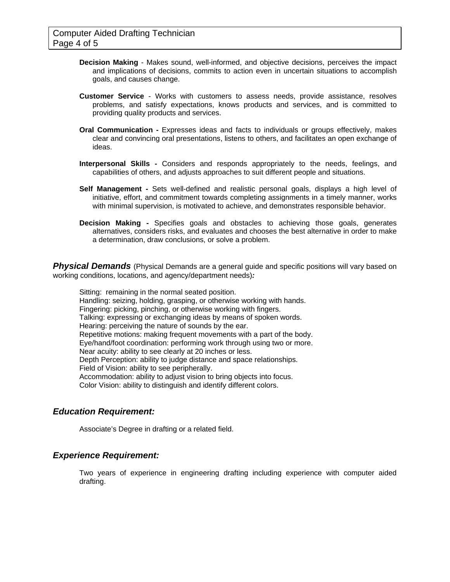- **Decision Making** Makes sound, well-informed, and objective decisions, perceives the impact and implications of decisions, commits to action even in uncertain situations to accomplish goals, and causes change.
- **Customer Service** Works with customers to assess needs, provide assistance, resolves problems, and satisfy expectations, knows products and services, and is committed to providing quality products and services.
- **Oral Communication** Expresses ideas and facts to individuals or groups effectively, makes clear and convincing oral presentations, listens to others, and facilitates an open exchange of ideas.
- **Interpersonal Skills -** Considers and responds appropriately to the needs, feelings, and capabilities of others, and adjusts approaches to suit different people and situations.
- **Self Management** Sets well-defined and realistic personal goals, displays a high level of initiative, effort, and commitment towards completing assignments in a timely manner, works with minimal supervision, is motivated to achieve, and demonstrates responsible behavior.
- **Decision Making** Specifies goals and obstacles to achieving those goals, generates alternatives, considers risks, and evaluates and chooses the best alternative in order to make a determination, draw conclusions, or solve a problem.

**Physical Demands** (Physical Demands are a general guide and specific positions will vary based on working conditions, locations, and agency/department needs)*:* 

Sitting: remaining in the normal seated position. Handling: seizing, holding, grasping, or otherwise working with hands. Fingering: picking, pinching, or otherwise working with fingers. Talking: expressing or exchanging ideas by means of spoken words. Hearing: perceiving the nature of sounds by the ear. Repetitive motions: making frequent movements with a part of the body. Eye/hand/foot coordination: performing work through using two or more. Near acuity: ability to see clearly at 20 inches or less. Depth Perception: ability to judge distance and space relationships. Field of Vision: ability to see peripherally. Accommodation: ability to adjust vision to bring objects into focus. Color Vision: ability to distinguish and identify different colors.

### *Education Requirement:*

Associate's Degree in drafting or a related field.

### *Experience Requirement:*

Two years of experience in engineering drafting including experience with computer aided drafting.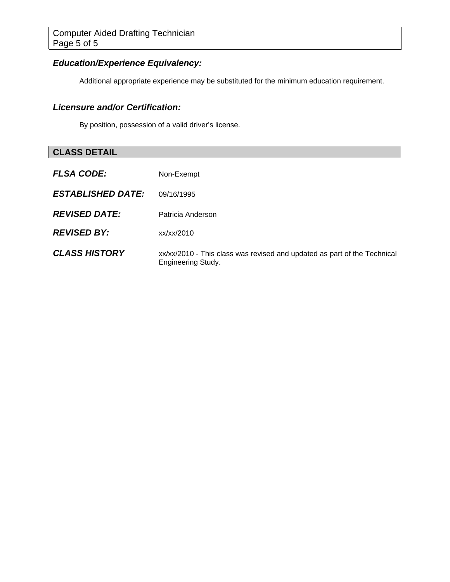### *Education/Experience Equivalency:*

Additional appropriate experience may be substituted for the minimum education requirement.

### *Licensure and/or Certification:*

By position, possession of a valid driver's license.

## **CLASS DETAIL**

| <b>FLSA CODE:</b>        | Non-Exempt                                                                                            |
|--------------------------|-------------------------------------------------------------------------------------------------------|
| <b>ESTABLISHED DATE:</b> | 09/16/1995                                                                                            |
| <b>REVISED DATE:</b>     | Patricia Anderson                                                                                     |
| <b>REVISED BY:</b>       | x / x / x / 2010                                                                                      |
| <b>CLASS HISTORY</b>     | xx/xx/2010 - This class was revised and updated as part of the Technical<br><b>Engineering Study.</b> |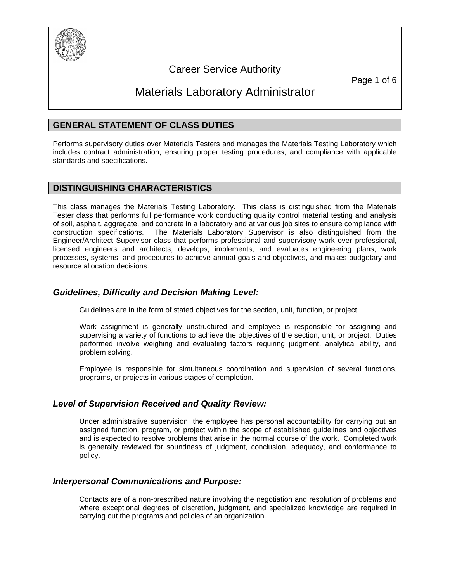

## Career Service Authority

Page 1 of 6

## Materials Laboratory Administrator

### **GENERAL STATEMENT OF CLASS DUTIES**

Performs supervisory duties over Materials Testers and manages the Materials Testing Laboratory which includes contract administration, ensuring proper testing procedures, and compliance with applicable standards and specifications.

### **DISTINGUISHING CHARACTERISTICS**

This class manages the Materials Testing Laboratory. This class is distinguished from the Materials Tester class that performs full performance work conducting quality control material testing and analysis of soil, asphalt, aggregate, and concrete in a laboratory and at various job sites to ensure compliance with construction specifications. The Materials Laboratory Supervisor is also distinguished from the Engineer/Architect Supervisor class that performs professional and supervisory work over professional, licensed engineers and architects, develops, implements, and evaluates engineering plans, work processes, systems, and procedures to achieve annual goals and objectives, and makes budgetary and resource allocation decisions.

### *Guidelines, Difficulty and Decision Making Level:*

Guidelines are in the form of stated objectives for the section, unit, function, or project.

Work assignment is generally unstructured and employee is responsible for assigning and supervising a variety of functions to achieve the objectives of the section, unit, or project. Duties performed involve weighing and evaluating factors requiring judgment, analytical ability, and problem solving.

Employee is responsible for simultaneous coordination and supervision of several functions, programs, or projects in various stages of completion.

### *Level of Supervision Received and Quality Review:*

Under administrative supervision, the employee has personal accountability for carrying out an assigned function, program, or project within the scope of established guidelines and objectives and is expected to resolve problems that arise in the normal course of the work. Completed work is generally reviewed for soundness of judgment, conclusion, adequacy, and conformance to policy.

### *Interpersonal Communications and Purpose:*

Contacts are of a non-prescribed nature involving the negotiation and resolution of problems and where exceptional degrees of discretion, judgment, and specialized knowledge are required in carrying out the programs and policies of an organization.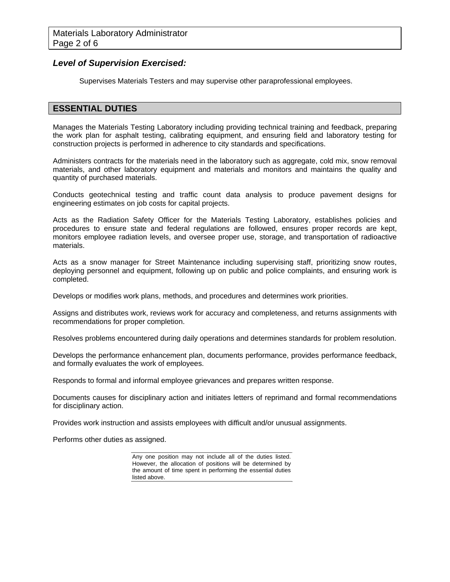### *Level of Supervision Exercised:*

Supervises Materials Testers and may supervise other paraprofessional employees.

### **ESSENTIAL DUTIES**

Manages the Materials Testing Laboratory including providing technical training and feedback, preparing the work plan for asphalt testing, calibrating equipment, and ensuring field and laboratory testing for construction projects is performed in adherence to city standards and specifications.

Administers contracts for the materials need in the laboratory such as aggregate, cold mix, snow removal materials, and other laboratory equipment and materials and monitors and maintains the quality and quantity of purchased materials.

Conducts geotechnical testing and traffic count data analysis to produce pavement designs for engineering estimates on job costs for capital projects.

Acts as the Radiation Safety Officer for the Materials Testing Laboratory, establishes policies and procedures to ensure state and federal regulations are followed, ensures proper records are kept, monitors employee radiation levels, and oversee proper use, storage, and transportation of radioactive materials.

Acts as a snow manager for Street Maintenance including supervising staff, prioritizing snow routes, deploying personnel and equipment, following up on public and police complaints, and ensuring work is completed.

Develops or modifies work plans, methods, and procedures and determines work priorities.

Assigns and distributes work, reviews work for accuracy and completeness, and returns assignments with recommendations for proper completion.

Resolves problems encountered during daily operations and determines standards for problem resolution.

Develops the performance enhancement plan, documents performance, provides performance feedback, and formally evaluates the work of employees.

Responds to formal and informal employee grievances and prepares written response.

Documents causes for disciplinary action and initiates letters of reprimand and formal recommendations for disciplinary action.

Provides work instruction and assists employees with difficult and/or unusual assignments.

Performs other duties as assigned.

Any one position may not include all of the duties listed. However, the allocation of positions will be determined by the amount of time spent in performing the essential duties listed above.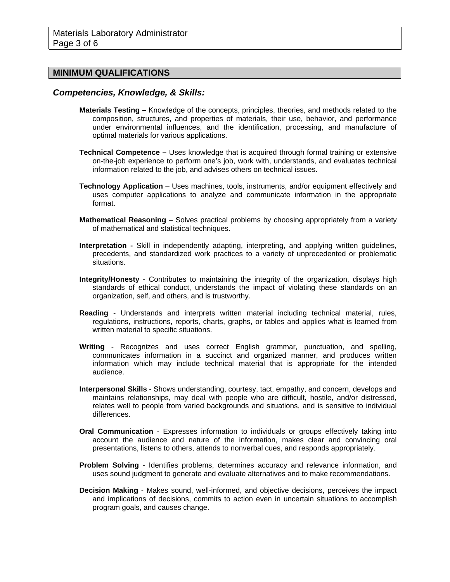### **MINIMUM QUALIFICATIONS**

#### *Competencies, Knowledge, & Skills:*

- **Materials Testing** Knowledge of the concepts, principles, theories, and methods related to the composition, structures, and properties of materials, their use, behavior, and performance under environmental influences, and the identification, processing, and manufacture of optimal materials for various applications.
- **Technical Competence –** Uses knowledge that is acquired through formal training or extensive on-the-job experience to perform one's job, work with, understands, and evaluates technical information related to the job, and advises others on technical issues.
- **Technology Application** Uses machines, tools, instruments, and/or equipment effectively and uses computer applications to analyze and communicate information in the appropriate format.
- **Mathematical Reasoning** Solves practical problems by choosing appropriately from a variety of mathematical and statistical techniques.
- **Interpretation** Skill in independently adapting, interpreting, and applying written guidelines, precedents, and standardized work practices to a variety of unprecedented or problematic situations.
- **Integrity/Honesty** Contributes to maintaining the integrity of the organization, displays high standards of ethical conduct, understands the impact of violating these standards on an organization, self, and others, and is trustworthy.
- **Reading** Understands and interprets written material including technical material, rules, regulations, instructions, reports, charts, graphs, or tables and applies what is learned from written material to specific situations.
- **Writing** Recognizes and uses correct English grammar, punctuation, and spelling, communicates information in a succinct and organized manner, and produces written information which may include technical material that is appropriate for the intended audience.
- **Interpersonal Skills** Shows understanding, courtesy, tact, empathy, and concern, develops and maintains relationships, may deal with people who are difficult, hostile, and/or distressed, relates well to people from varied backgrounds and situations, and is sensitive to individual differences.
- **Oral Communication** Expresses information to individuals or groups effectively taking into account the audience and nature of the information, makes clear and convincing oral presentations, listens to others, attends to nonverbal cues, and responds appropriately.
- **Problem Solving** Identifies problems, determines accuracy and relevance information, and uses sound judgment to generate and evaluate alternatives and to make recommendations.
- **Decision Making** Makes sound, well-informed, and objective decisions, perceives the impact and implications of decisions, commits to action even in uncertain situations to accomplish program goals, and causes change.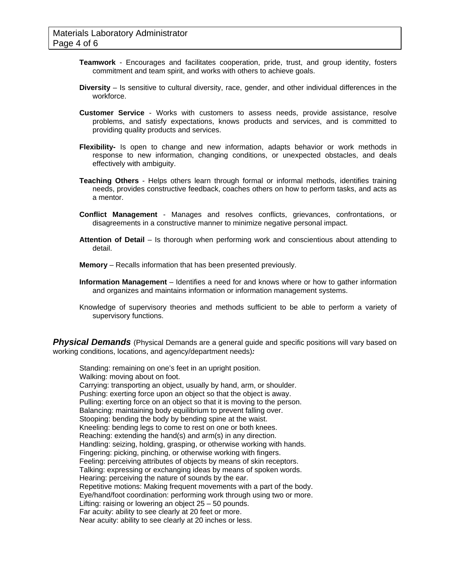- **Teamwork**  Encourages and facilitates cooperation, pride, trust, and group identity, fosters commitment and team spirit, and works with others to achieve goals.
- **Diversity** Is sensitive to cultural diversity, race, gender, and other individual differences in the workforce.
- **Customer Service** Works with customers to assess needs, provide assistance, resolve problems, and satisfy expectations, knows products and services, and is committed to providing quality products and services.
- **Flexibility-** Is open to change and new information, adapts behavior or work methods in response to new information, changing conditions, or unexpected obstacles, and deals effectively with ambiguity.
- **Teaching Others** Helps others learn through formal or informal methods, identifies training needs, provides constructive feedback, coaches others on how to perform tasks, and acts as a mentor.
- **Conflict Management** Manages and resolves conflicts, grievances, confrontations, or disagreements in a constructive manner to minimize negative personal impact.
- **Attention of Detail** Is thorough when performing work and conscientious about attending to detail.
- **Memory**  Recalls information that has been presented previously.
- **Information Management** Identifies a need for and knows where or how to gather information and organizes and maintains information or information management systems.
- Knowledge of supervisory theories and methods sufficient to be able to perform a variety of supervisory functions.

**Physical Demands** (Physical Demands are a general guide and specific positions will vary based on working conditions, locations, and agency/department needs)*:* 

Standing: remaining on one's feet in an upright position. Walking: moving about on foot. Carrying: transporting an object, usually by hand, arm, or shoulder. Pushing: exerting force upon an object so that the object is away. Pulling: exerting force on an object so that it is moving to the person. Balancing: maintaining body equilibrium to prevent falling over. Stooping: bending the body by bending spine at the waist. Kneeling: bending legs to come to rest on one or both knees. Reaching: extending the hand(s) and arm(s) in any direction. Handling: seizing, holding, grasping, or otherwise working with hands. Fingering: picking, pinching, or otherwise working with fingers. Feeling: perceiving attributes of objects by means of skin receptors. Talking: expressing or exchanging ideas by means of spoken words. Hearing: perceiving the nature of sounds by the ear. Repetitive motions: Making frequent movements with a part of the body. Eye/hand/foot coordination: performing work through using two or more. Lifting: raising or lowering an object 25 – 50 pounds. Far acuity: ability to see clearly at 20 feet or more. Near acuity: ability to see clearly at 20 inches or less.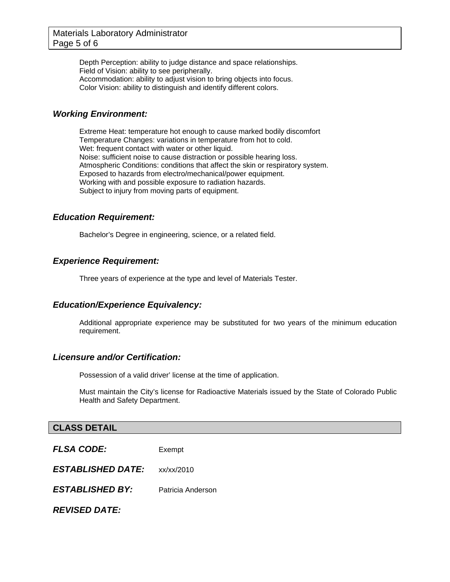Depth Perception: ability to judge distance and space relationships. Field of Vision: ability to see peripherally. Accommodation: ability to adjust vision to bring objects into focus. Color Vision: ability to distinguish and identify different colors.

### *Working Environment:*

Extreme Heat: temperature hot enough to cause marked bodily discomfort Temperature Changes: variations in temperature from hot to cold. Wet: frequent contact with water or other liquid. Noise: sufficient noise to cause distraction or possible hearing loss. Atmospheric Conditions: conditions that affect the skin or respiratory system. Exposed to hazards from electro/mechanical/power equipment. Working with and possible exposure to radiation hazards. Subject to injury from moving parts of equipment.

### *Education Requirement:*

Bachelor's Degree in engineering, science, or a related field.

### *Experience Requirement:*

Three years of experience at the type and level of Materials Tester.

### *Education/Experience Equivalency:*

Additional appropriate experience may be substituted for two years of the minimum education requirement.

### *Licensure and/or Certification:*

Possession of a valid driver' license at the time of application.

Must maintain the City's license for Radioactive Materials issued by the State of Colorado Public Health and Safety Department.

### **CLASS DETAIL**

| <b>FLSA CODE:</b>        | Exempt            |  |
|--------------------------|-------------------|--|
| <b>ESTABLISHED DATE:</b> | xx/xx/2010        |  |
| <b>ESTABLISHED BY:</b>   | Patricia Anderson |  |
| <b>REVISED DATE:</b>     |                   |  |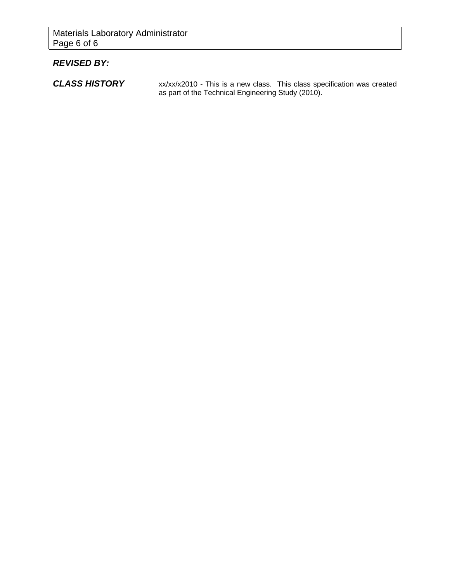### *REVISED BY:*

**CLASS HISTORY** xx/xx/x2010 - This is a new class. This class specification was created as part of the Technical Engineering Study (2010).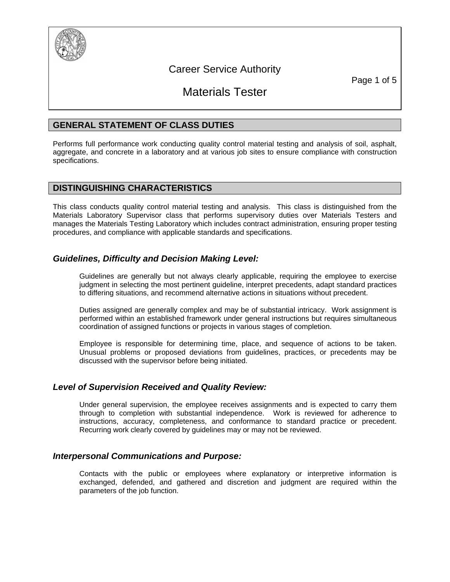

### Career Service Authority

Page 1 of 5

## Materials Tester

### **GENERAL STATEMENT OF CLASS DUTIES**

Performs full performance work conducting quality control material testing and analysis of soil, asphalt, aggregate, and concrete in a laboratory and at various job sites to ensure compliance with construction specifications.

### **DISTINGUISHING CHARACTERISTICS**

This class conducts quality control material testing and analysis. This class is distinguished from the Materials Laboratory Supervisor class that performs supervisory duties over Materials Testers and manages the Materials Testing Laboratory which includes contract administration, ensuring proper testing procedures, and compliance with applicable standards and specifications.

### *Guidelines, Difficulty and Decision Making Level:*

Guidelines are generally but not always clearly applicable, requiring the employee to exercise judgment in selecting the most pertinent guideline, interpret precedents, adapt standard practices to differing situations, and recommend alternative actions in situations without precedent.

Duties assigned are generally complex and may be of substantial intricacy. Work assignment is performed within an established framework under general instructions but requires simultaneous coordination of assigned functions or projects in various stages of completion.

Employee is responsible for determining time, place, and sequence of actions to be taken. Unusual problems or proposed deviations from guidelines, practices, or precedents may be discussed with the supervisor before being initiated.

### *Level of Supervision Received and Quality Review:*

Under general supervision, the employee receives assignments and is expected to carry them through to completion with substantial independence. Work is reviewed for adherence to instructions, accuracy, completeness, and conformance to standard practice or precedent. Recurring work clearly covered by guidelines may or may not be reviewed.

### *Interpersonal Communications and Purpose:*

Contacts with the public or employees where explanatory or interpretive information is exchanged, defended, and gathered and discretion and judgment are required within the parameters of the job function.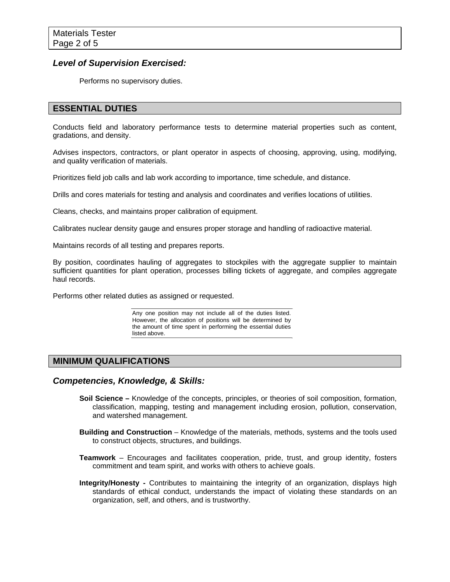### *Level of Supervision Exercised:*

Performs no supervisory duties.

### **ESSENTIAL DUTIES**

Conducts field and laboratory performance tests to determine material properties such as content, gradations, and density.

Advises inspectors, contractors, or plant operator in aspects of choosing, approving, using, modifying, and quality verification of materials.

Prioritizes field job calls and lab work according to importance, time schedule, and distance.

Drills and cores materials for testing and analysis and coordinates and verifies locations of utilities.

Cleans, checks, and maintains proper calibration of equipment.

Calibrates nuclear density gauge and ensures proper storage and handling of radioactive material.

Maintains records of all testing and prepares reports.

By position, coordinates hauling of aggregates to stockpiles with the aggregate supplier to maintain sufficient quantities for plant operation, processes billing tickets of aggregate, and compiles aggregate haul records.

Performs other related duties as assigned or requested.

Any one position may not include all of the duties listed. However, the allocation of positions will be determined by the amount of time spent in performing the essential duties listed above.

### **MINIMUM QUALIFICATIONS**

### *Competencies, Knowledge, & Skills:*

- **Soil Science** Knowledge of the concepts, principles, or theories of soil composition, formation, classification, mapping, testing and management including erosion, pollution, conservation, and watershed management.
- **Building and Construction** Knowledge of the materials, methods, systems and the tools used to construct objects, structures, and buildings.
- **Teamwork** Encourages and facilitates cooperation, pride, trust, and group identity, fosters commitment and team spirit, and works with others to achieve goals.
- **Integrity/Honesty -** Contributes to maintaining the integrity of an organization, displays high standards of ethical conduct, understands the impact of violating these standards on an organization, self, and others, and is trustworthy.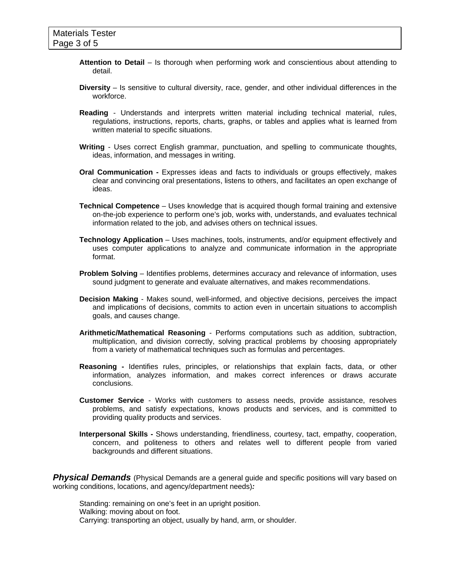- **Attention to Detail** Is thorough when performing work and conscientious about attending to detail.
- **Diversity** Is sensitive to cultural diversity, race, gender, and other individual differences in the workforce.
- **Reading** Understands and interprets written material including technical material, rules, regulations, instructions, reports, charts, graphs, or tables and applies what is learned from written material to specific situations.
- **Writing** Uses correct English grammar, punctuation, and spelling to communicate thoughts, ideas, information, and messages in writing.
- **Oral Communication** Expresses ideas and facts to individuals or groups effectively, makes clear and convincing oral presentations, listens to others, and facilitates an open exchange of ideas.
- **Technical Competence** Uses knowledge that is acquired though formal training and extensive on-the-job experience to perform one's job, works with, understands, and evaluates technical information related to the job, and advises others on technical issues.
- **Technology Application** Uses machines, tools, instruments, and/or equipment effectively and uses computer applications to analyze and communicate information in the appropriate format.
- **Problem Solving** Identifies problems, determines accuracy and relevance of information, uses sound judgment to generate and evaluate alternatives, and makes recommendations.
- **Decision Making** Makes sound, well-informed, and objective decisions, perceives the impact and implications of decisions, commits to action even in uncertain situations to accomplish goals, and causes change.
- **Arithmetic/Mathematical Reasoning** Performs computations such as addition, subtraction, multiplication, and division correctly, solving practical problems by choosing appropriately from a variety of mathematical techniques such as formulas and percentages.
- **Reasoning -** Identifies rules, principles, or relationships that explain facts, data, or other information, analyzes information, and makes correct inferences or draws accurate conclusions.
- **Customer Service** Works with customers to assess needs, provide assistance, resolves problems, and satisfy expectations, knows products and services, and is committed to providing quality products and services.
- **Interpersonal Skills** Shows understanding, friendliness, courtesy, tact, empathy, cooperation, concern, and politeness to others and relates well to different people from varied backgrounds and different situations.

**Physical Demands** (Physical Demands are a general guide and specific positions will vary based on working conditions, locations, and agency/department needs)*:* 

Standing: remaining on one's feet in an upright position. Walking: moving about on foot. Carrying: transporting an object, usually by hand, arm, or shoulder.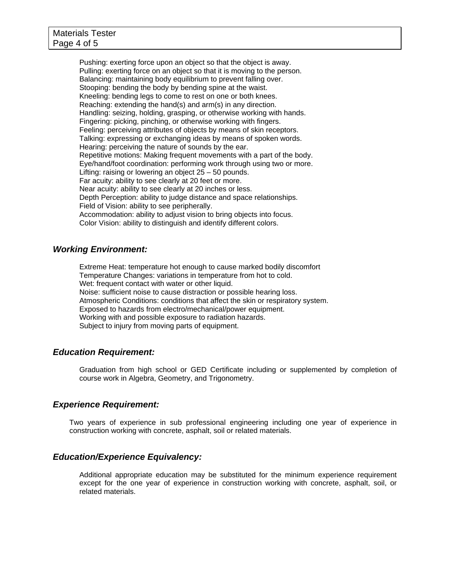Pushing: exerting force upon an object so that the object is away. Pulling: exerting force on an object so that it is moving to the person. Balancing: maintaining body equilibrium to prevent falling over. Stooping: bending the body by bending spine at the waist. Kneeling: bending legs to come to rest on one or both knees. Reaching: extending the hand(s) and arm(s) in any direction. Handling: seizing, holding, grasping, or otherwise working with hands. Fingering: picking, pinching, or otherwise working with fingers. Feeling: perceiving attributes of objects by means of skin receptors. Talking: expressing or exchanging ideas by means of spoken words. Hearing: perceiving the nature of sounds by the ear. Repetitive motions: Making frequent movements with a part of the body. Eye/hand/foot coordination: performing work through using two or more. Lifting: raising or lowering an object 25 – 50 pounds. Far acuity: ability to see clearly at 20 feet or more. Near acuity: ability to see clearly at 20 inches or less. Depth Perception: ability to judge distance and space relationships. Field of Vision: ability to see peripherally. Accommodation: ability to adjust vision to bring objects into focus. Color Vision: ability to distinguish and identify different colors.

### *Working Environment:*

Extreme Heat: temperature hot enough to cause marked bodily discomfort Temperature Changes: variations in temperature from hot to cold. Wet: frequent contact with water or other liquid. Noise: sufficient noise to cause distraction or possible hearing loss. Atmospheric Conditions: conditions that affect the skin or respiratory system. Exposed to hazards from electro/mechanical/power equipment. Working with and possible exposure to radiation hazards. Subject to injury from moving parts of equipment.

### *Education Requirement:*

Graduation from high school or GED Certificate including or supplemented by completion of course work in Algebra, Geometry, and Trigonometry.

### *Experience Requirement:*

Two years of experience in sub professional engineering including one year of experience in construction working with concrete, asphalt, soil or related materials.

### *Education/Experience Equivalency:*

Additional appropriate education may be substituted for the minimum experience requirement except for the one year of experience in construction working with concrete, asphalt, soil, or related materials.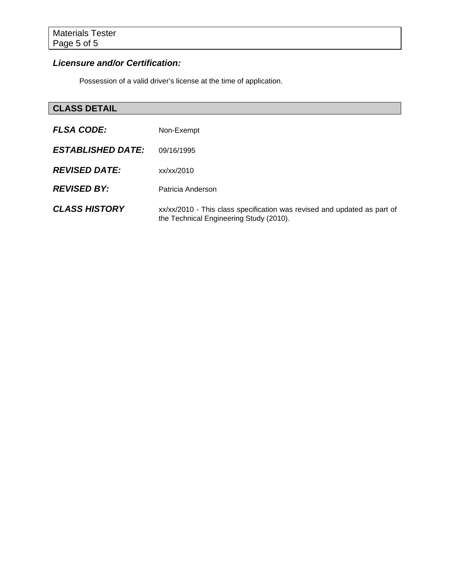### *Licensure and/or Certification:*

Possession of a valid driver's license at the time of application.

## **CLASS DETAIL**

| <b>FLSA CODE:</b>        | Non-Exempt                                                                                                          |
|--------------------------|---------------------------------------------------------------------------------------------------------------------|
| <b>ESTABLISHED DATE:</b> | 09/16/1995                                                                                                          |
| <b>REVISED DATE:</b>     | xx/xx/2010                                                                                                          |
| <b>REVISED BY:</b>       | Patricia Anderson                                                                                                   |
| <b>CLASS HISTORY</b>     | xx/xx/2010 - This class specification was revised and updated as part of<br>the Technical Engineering Study (2010). |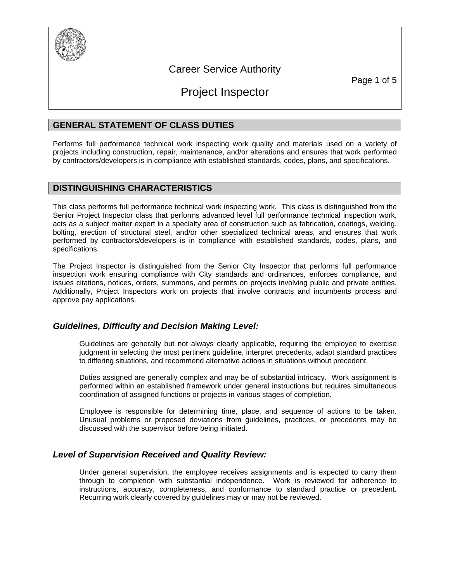

## Career Service Authority

Page 1 of 5

## Project Inspector

### **GENERAL STATEMENT OF CLASS DUTIES**

Performs full performance technical work inspecting work quality and materials used on a variety of projects including construction, repair, maintenance, and/or alterations and ensures that work performed by contractors/developers is in compliance with established standards, codes, plans, and specifications.

### **DISTINGUISHING CHARACTERISTICS**

This class performs full performance technical work inspecting work. This class is distinguished from the Senior Project Inspector class that performs advanced level full performance technical inspection work, acts as a subject matter expert in a specialty area of construction such as fabrication, coatings, welding, bolting, erection of structural steel, and/or other specialized technical areas, and ensures that work performed by contractors/developers is in compliance with established standards, codes, plans, and specifications.

The Project Inspector is distinguished from the Senior City Inspector that performs full performance inspection work ensuring compliance with City standards and ordinances, enforces compliance, and issues citations, notices, orders, summons, and permits on projects involving public and private entities. Additionally, Project Inspectors work on projects that involve contracts and incumbents process and approve pay applications.

### *Guidelines, Difficulty and Decision Making Level:*

Guidelines are generally but not always clearly applicable, requiring the employee to exercise judgment in selecting the most pertinent guideline, interpret precedents, adapt standard practices to differing situations, and recommend alternative actions in situations without precedent.

Duties assigned are generally complex and may be of substantial intricacy. Work assignment is performed within an established framework under general instructions but requires simultaneous coordination of assigned functions or projects in various stages of completion.

Employee is responsible for determining time, place, and sequence of actions to be taken. Unusual problems or proposed deviations from guidelines, practices, or precedents may be discussed with the supervisor before being initiated.

### *Level of Supervision Received and Quality Review:*

Under general supervision, the employee receives assignments and is expected to carry them through to completion with substantial independence. Work is reviewed for adherence to instructions, accuracy, completeness, and conformance to standard practice or precedent. Recurring work clearly covered by guidelines may or may not be reviewed.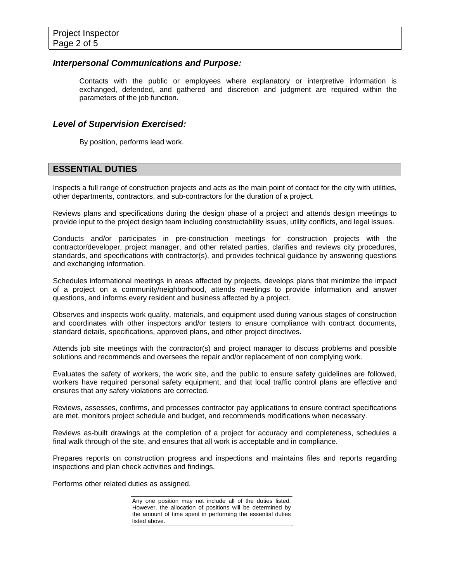### *Interpersonal Communications and Purpose:*

Contacts with the public or employees where explanatory or interpretive information is exchanged, defended, and gathered and discretion and judgment are required within the parameters of the job function.

### *Level of Supervision Exercised:*

By position, performs lead work.

### **ESSENTIAL DUTIES**

Inspects a full range of construction projects and acts as the main point of contact for the city with utilities, other departments, contractors, and sub-contractors for the duration of a project.

Reviews plans and specifications during the design phase of a project and attends design meetings to provide input to the project design team including constructability issues, utility conflicts, and legal issues.

Conducts and/or participates in pre-construction meetings for construction projects with the contractor/developer, project manager, and other related parties, clarifies and reviews city procedures, standards, and specifications with contractor(s), and provides technical guidance by answering questions and exchanging information.

Schedules informational meetings in areas affected by projects, develops plans that minimize the impact of a project on a community/neighborhood, attends meetings to provide information and answer questions, and informs every resident and business affected by a project.

Observes and inspects work quality, materials, and equipment used during various stages of construction and coordinates with other inspectors and/or testers to ensure compliance with contract documents, standard details, specifications, approved plans, and other project directives.

Attends job site meetings with the contractor(s) and project manager to discuss problems and possible solutions and recommends and oversees the repair and/or replacement of non complying work.

Evaluates the safety of workers, the work site, and the public to ensure safety guidelines are followed, workers have required personal safety equipment, and that local traffic control plans are effective and ensures that any safety violations are corrected.

Reviews, assesses, confirms, and processes contractor pay applications to ensure contract specifications are met, monitors project schedule and budget, and recommends modifications when necessary.

Reviews as-built drawings at the completion of a project for accuracy and completeness, schedules a final walk through of the site, and ensures that all work is acceptable and in compliance.

Prepares reports on construction progress and inspections and maintains files and reports regarding inspections and plan check activities and findings.

Performs other related duties as assigned.

Any one position may not include all of the duties listed. However, the allocation of positions will be determined by the amount of time spent in performing the essential duties listed above.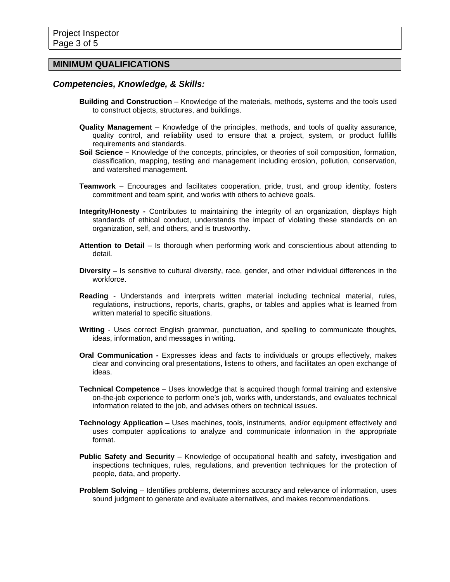### **MINIMUM QUALIFICATIONS**

### *Competencies, Knowledge, & Skills:*

- **Building and Construction** Knowledge of the materials, methods, systems and the tools used to construct objects, structures, and buildings.
- **Quality Management** Knowledge of the principles, methods, and tools of quality assurance, quality control, and reliability used to ensure that a project, system, or product fulfills requirements and standards.
- **Soil Science** Knowledge of the concepts, principles, or theories of soil composition, formation, classification, mapping, testing and management including erosion, pollution, conservation, and watershed management.
- **Teamwork** Encourages and facilitates cooperation, pride, trust, and group identity, fosters commitment and team spirit, and works with others to achieve goals.
- **Integrity/Honesty** Contributes to maintaining the integrity of an organization, displays high standards of ethical conduct, understands the impact of violating these standards on an organization, self, and others, and is trustworthy.
- **Attention to Detail** Is thorough when performing work and conscientious about attending to detail.
- **Diversity** Is sensitive to cultural diversity, race, gender, and other individual differences in the workforce.
- **Reading** Understands and interprets written material including technical material, rules, regulations, instructions, reports, charts, graphs, or tables and applies what is learned from written material to specific situations.
- **Writing** Uses correct English grammar, punctuation, and spelling to communicate thoughts, ideas, information, and messages in writing.
- **Oral Communication** Expresses ideas and facts to individuals or groups effectively, makes clear and convincing oral presentations, listens to others, and facilitates an open exchange of ideas.
- **Technical Competence** Uses knowledge that is acquired though formal training and extensive on-the-job experience to perform one's job, works with, understands, and evaluates technical information related to the job, and advises others on technical issues.
- **Technology Application** Uses machines, tools, instruments, and/or equipment effectively and uses computer applications to analyze and communicate information in the appropriate format.
- **Public Safety and Security** Knowledge of occupational health and safety, investigation and inspections techniques, rules, regulations, and prevention techniques for the protection of people, data, and property.
- **Problem Solving** Identifies problems, determines accuracy and relevance of information, uses sound judgment to generate and evaluate alternatives, and makes recommendations.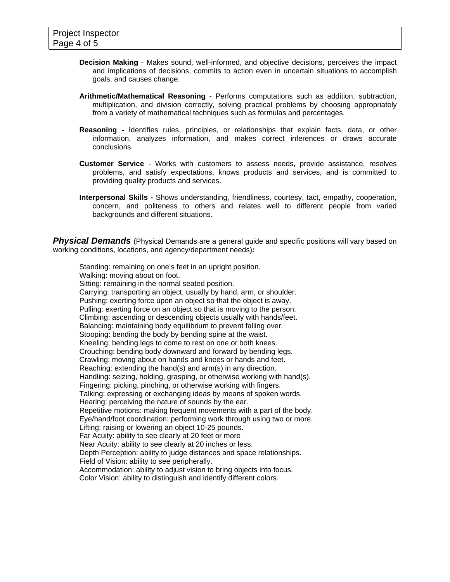- **Decision Making** Makes sound, well-informed, and objective decisions, perceives the impact and implications of decisions, commits to action even in uncertain situations to accomplish goals, and causes change.
- **Arithmetic/Mathematical Reasoning** Performs computations such as addition, subtraction, multiplication, and division correctly, solving practical problems by choosing appropriately from a variety of mathematical techniques such as formulas and percentages.
- **Reasoning -** Identifies rules, principles, or relationships that explain facts, data, or other information, analyzes information, and makes correct inferences or draws accurate conclusions.
- **Customer Service** Works with customers to assess needs, provide assistance, resolves problems, and satisfy expectations, knows products and services, and is committed to providing quality products and services.
- **Interpersonal Skills** Shows understanding, friendliness, courtesy, tact, empathy, cooperation, concern, and politeness to others and relates well to different people from varied backgrounds and different situations.

**Physical Demands** (Physical Demands are a general guide and specific positions will vary based on working conditions, locations, and agency/department needs)*:* 

Standing: remaining on one's feet in an upright position. Walking: moving about on foot. Sitting: remaining in the normal seated position. Carrying: transporting an object, usually by hand, arm, or shoulder. Pushing: exerting force upon an object so that the object is away. Pulling: exerting force on an object so that is moving to the person. Climbing: ascending or descending objects usually with hands/feet. Balancing: maintaining body equilibrium to prevent falling over. Stooping: bending the body by bending spine at the waist. Kneeling: bending legs to come to rest on one or both knees. Crouching: bending body downward and forward by bending legs. Crawling: moving about on hands and knees or hands and feet. Reaching: extending the hand(s) and arm(s) in any direction. Handling: seizing, holding, grasping, or otherwise working with hand(s). Fingering: picking, pinching, or otherwise working with fingers. Talking: expressing or exchanging ideas by means of spoken words. Hearing: perceiving the nature of sounds by the ear. Repetitive motions: making frequent movements with a part of the body. Eye/hand/foot coordination: performing work through using two or more. Lifting: raising or lowering an object 10-25 pounds. Far Acuity: ability to see clearly at 20 feet or more Near Acuity: ability to see clearly at 20 inches or less. Depth Perception: ability to judge distances and space relationships. Field of Vision: ability to see peripherally. Accommodation: ability to adjust vision to bring objects into focus. Color Vision: ability to distinguish and identify different colors.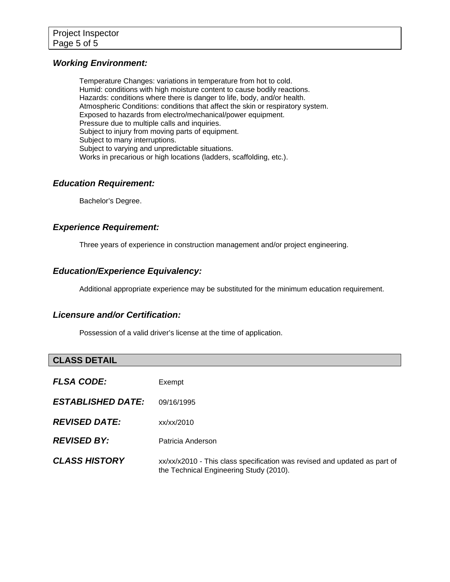### *Working Environment:*

Temperature Changes: variations in temperature from hot to cold. Humid: conditions with high moisture content to cause bodily reactions. Hazards: conditions where there is danger to life, body, and/or health. Atmospheric Conditions: conditions that affect the skin or respiratory system. Exposed to hazards from electro/mechanical/power equipment. Pressure due to multiple calls and inquiries. Subject to injury from moving parts of equipment. Subject to many interruptions. Subject to varying and unpredictable situations. Works in precarious or high locations (ladders, scaffolding, etc.).

### *Education Requirement:*

Bachelor's Degree.

### *Experience Requirement:*

Three years of experience in construction management and/or project engineering.

### *Education/Experience Equivalency:*

Additional appropriate experience may be substituted for the minimum education requirement.

### *Licensure and/or Certification:*

Possession of a valid driver's license at the time of application.

### **CLASS DETAIL**

| <b>FLSA CODE:</b>        | Exempt                                                                                                               |
|--------------------------|----------------------------------------------------------------------------------------------------------------------|
| <b>ESTABLISHED DATE:</b> | 09/16/1995                                                                                                           |
| <b>REVISED DATE:</b>     | xx/xx/2010                                                                                                           |
| <b>REVISED BY:</b>       | Patricia Anderson                                                                                                    |
| <b>CLASS HISTORY</b>     | xx/xx/x2010 - This class specification was revised and updated as part of<br>the Technical Engineering Study (2010). |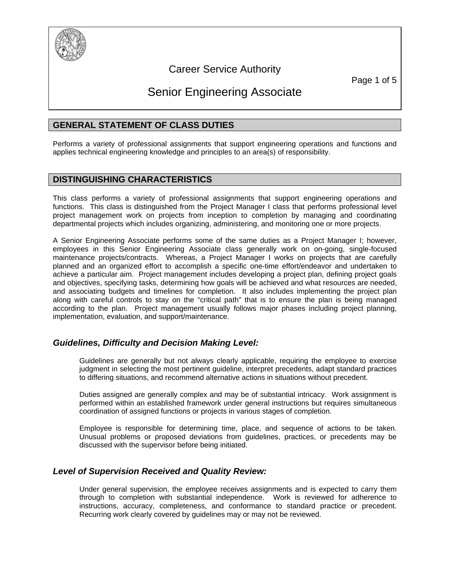

## Career Service Authority

Page 1 of 5

## Senior Engineering Associate

### **GENERAL STATEMENT OF CLASS DUTIES**

Performs a variety of professional assignments that support engineering operations and functions and applies technical engineering knowledge and principles to an area(s) of responsibility.

### **DISTINGUISHING CHARACTERISTICS**

This class performs a variety of professional assignments that support engineering operations and functions. This class is distinguished from the Project Manager I class that performs professional level project management work on projects from inception to completion by managing and coordinating departmental projects which includes organizing, administering, and monitoring one or more projects.

A Senior Engineering Associate performs some of the same duties as a Project Manager I; however, employees in this Senior Engineering Associate class generally work on on-going, single-focused maintenance projects/contracts. Whereas, a Project Manager I works on projects that are carefully planned and an organized effort to accomplish a specific one-time effort/endeavor and undertaken to achieve a particular aim. Project management includes developing a project plan, defining project goals and objectives, specifying tasks, determining how goals will be achieved and what resources are needed, and associating budgets and timelines for completion. It also includes implementing the project plan along with careful controls to stay on the "critical path" that is to ensure the plan is being managed according to the plan. Project management usually follows major phases including project planning, implementation, evaluation, and support/maintenance.

### *Guidelines, Difficulty and Decision Making Level:*

Guidelines are generally but not always clearly applicable, requiring the employee to exercise judgment in selecting the most pertinent guideline, interpret precedents, adapt standard practices to differing situations, and recommend alternative actions in situations without precedent.

Duties assigned are generally complex and may be of substantial intricacy. Work assignment is performed within an established framework under general instructions but requires simultaneous coordination of assigned functions or projects in various stages of completion.

Employee is responsible for determining time, place, and sequence of actions to be taken. Unusual problems or proposed deviations from guidelines, practices, or precedents may be discussed with the supervisor before being initiated.

### *Level of Supervision Received and Quality Review:*

Under general supervision, the employee receives assignments and is expected to carry them through to completion with substantial independence. Work is reviewed for adherence to instructions, accuracy, completeness, and conformance to standard practice or precedent. Recurring work clearly covered by guidelines may or may not be reviewed.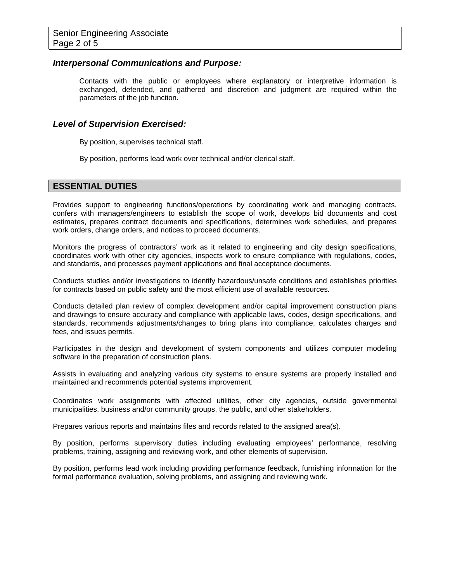### *Interpersonal Communications and Purpose:*

Contacts with the public or employees where explanatory or interpretive information is exchanged, defended, and gathered and discretion and judgment are required within the parameters of the job function.

#### *Level of Supervision Exercised:*

By position, supervises technical staff.

By position, performs lead work over technical and/or clerical staff.

### **ESSENTIAL DUTIES**

Provides support to engineering functions/operations by coordinating work and managing contracts, confers with managers/engineers to establish the scope of work, develops bid documents and cost estimates, prepares contract documents and specifications, determines work schedules, and prepares work orders, change orders, and notices to proceed documents.

Monitors the progress of contractors' work as it related to engineering and city design specifications, coordinates work with other city agencies, inspects work to ensure compliance with regulations, codes, and standards, and processes payment applications and final acceptance documents.

Conducts studies and/or investigations to identify hazardous/unsafe conditions and establishes priorities for contracts based on public safety and the most efficient use of available resources.

Conducts detailed plan review of complex development and/or capital improvement construction plans and drawings to ensure accuracy and compliance with applicable laws, codes, design specifications, and standards, recommends adjustments/changes to bring plans into compliance, calculates charges and fees, and issues permits.

Participates in the design and development of system components and utilizes computer modeling software in the preparation of construction plans.

Assists in evaluating and analyzing various city systems to ensure systems are properly installed and maintained and recommends potential systems improvement.

Coordinates work assignments with affected utilities, other city agencies, outside governmental municipalities, business and/or community groups, the public, and other stakeholders.

Prepares various reports and maintains files and records related to the assigned area(s).

By position, performs supervisory duties including evaluating employees' performance, resolving problems, training, assigning and reviewing work, and other elements of supervision.

By position, performs lead work including providing performance feedback, furnishing information for the formal performance evaluation, solving problems, and assigning and reviewing work.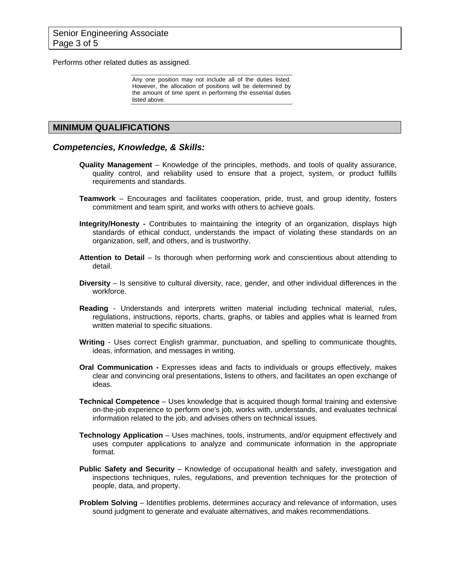Performs other related duties as assigned.

Any one position may not include all of the duties listed. However, the allocation of positions will be determined by the amount of time spent in performing the essential duties listed above.

### **MINIMUM QUALIFICATIONS**

#### *Competencies, Knowledge, & Skills:*

- **Quality Management** Knowledge of the principles, methods, and tools of quality assurance, quality control, and reliability used to ensure that a project, system, or product fulfills requirements and standards.
- **Teamwork** Encourages and facilitates cooperation, pride, trust, and group identity, fosters commitment and team spirit, and works with others to achieve goals.
- **Integrity/Honesty -** Contributes to maintaining the integrity of an organization, displays high standards of ethical conduct, understands the impact of violating these standards on an organization, self, and others, and is trustworthy.
- **Attention to Detail** Is thorough when performing work and conscientious about attending to detail.
- **Diversity** Is sensitive to cultural diversity, race, gender, and other individual differences in the workforce.
- **Reading** Understands and interprets written material including technical material, rules, regulations, instructions, reports, charts, graphs, or tables and applies what is learned from written material to specific situations.
- **Writing** Uses correct English grammar, punctuation, and spelling to communicate thoughts, ideas, information, and messages in writing.
- **Oral Communication** Expresses ideas and facts to individuals or groups effectively, makes clear and convincing oral presentations, listens to others, and facilitates an open exchange of ideas.
- **Technical Competence** Uses knowledge that is acquired though formal training and extensive on-the-job experience to perform one's job, works with, understands, and evaluates technical information related to the job, and advises others on technical issues.
- **Technology Application** Uses machines, tools, instruments, and/or equipment effectively and uses computer applications to analyze and communicate information in the appropriate format.
- **Public Safety and Security** Knowledge of occupational health and safety, investigation and inspections techniques, rules, regulations, and prevention techniques for the protection of people, data, and property.
- **Problem Solving** Identifies problems, determines accuracy and relevance of information, uses sound judgment to generate and evaluate alternatives, and makes recommendations.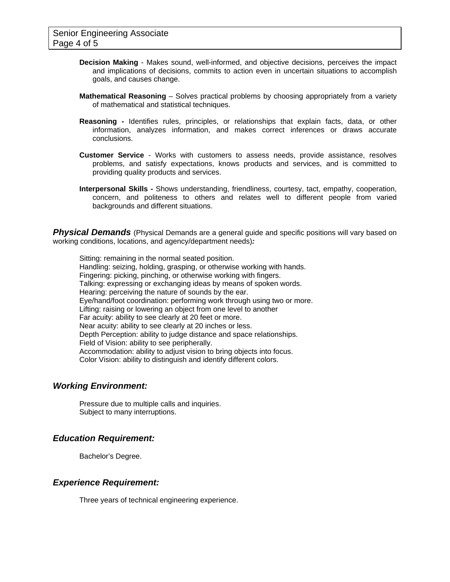- **Decision Making** Makes sound, well-informed, and objective decisions, perceives the impact and implications of decisions, commits to action even in uncertain situations to accomplish goals, and causes change.
- **Mathematical Reasoning** Solves practical problems by choosing appropriately from a variety of mathematical and statistical techniques.
- **Reasoning -** Identifies rules, principles, or relationships that explain facts, data, or other information, analyzes information, and makes correct inferences or draws accurate conclusions.
- **Customer Service** Works with customers to assess needs, provide assistance, resolves problems, and satisfy expectations, knows products and services, and is committed to providing quality products and services.
- **Interpersonal Skills** Shows understanding, friendliness, courtesy, tact, empathy, cooperation, concern, and politeness to others and relates well to different people from varied backgrounds and different situations.

**Physical Demands** (Physical Demands are a general guide and specific positions will vary based on working conditions, locations, and agency/department needs)*:* 

Sitting: remaining in the normal seated position. Handling: seizing, holding, grasping, or otherwise working with hands. Fingering: picking, pinching, or otherwise working with fingers. Talking: expressing or exchanging ideas by means of spoken words. Hearing: perceiving the nature of sounds by the ear. Eye/hand/foot coordination: performing work through using two or more. Lifting: raising or lowering an object from one level to another Far acuity: ability to see clearly at 20 feet or more. Near acuity: ability to see clearly at 20 inches or less. Depth Perception: ability to judge distance and space relationships. Field of Vision: ability to see peripherally. Accommodation: ability to adjust vision to bring objects into focus. Color Vision: ability to distinguish and identify different colors.

### *Working Environment:*

Pressure due to multiple calls and inquiries. Subject to many interruptions.

### *Education Requirement:*

Bachelor's Degree.

### *Experience Requirement:*

Three years of technical engineering experience.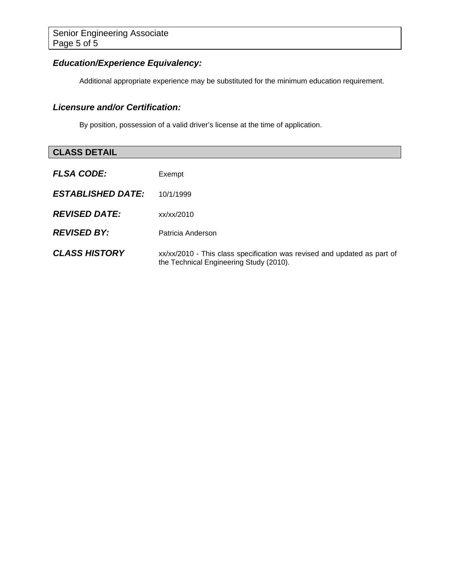### *Education/Experience Equivalency:*

Additional appropriate experience may be substituted for the minimum education requirement.

### *Licensure and/or Certification:*

By position, possession of a valid driver's license at the time of application.

# **CLASS DETAIL**  *FLSA CODE:*Exempt *ESTABLISHED DATE:* 10/1/1999 *REVISED DATE:* xx/xx/2010 *REVISED BY:* Patricia Anderson **CLASS HISTORY** xx/xx/2010 - This class specification was revised and updated as part of the Technical Engineering Study (2010).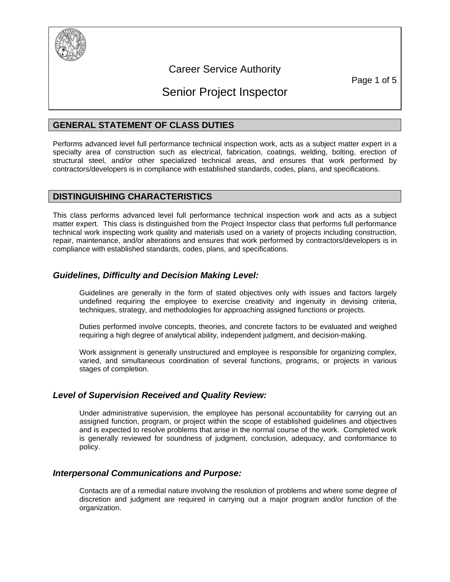

## Career Service Authority

Page 1 of 5

## Senior Project Inspector

### **GENERAL STATEMENT OF CLASS DUTIES**

Performs advanced level full performance technical inspection work, acts as a subject matter expert in a specialty area of construction such as electrical, fabrication, coatings, welding, bolting, erection of structural steel, and/or other specialized technical areas, and ensures that work performed by contractors/developers is in compliance with established standards, codes, plans, and specifications.

### **DISTINGUISHING CHARACTERISTICS**

This class performs advanced level full performance technical inspection work and acts as a subject matter expert. This class is distinguished from the Project Inspector class that performs full performance technical work inspecting work quality and materials used on a variety of projects including construction, repair, maintenance, and/or alterations and ensures that work performed by contractors/developers is in compliance with established standards, codes, plans, and specifications.

### *Guidelines, Difficulty and Decision Making Level:*

Guidelines are generally in the form of stated objectives only with issues and factors largely undefined requiring the employee to exercise creativity and ingenuity in devising criteria, techniques, strategy, and methodologies for approaching assigned functions or projects.

Duties performed involve concepts, theories, and concrete factors to be evaluated and weighed requiring a high degree of analytical ability, independent judgment, and decision-making.

Work assignment is generally unstructured and employee is responsible for organizing complex, varied, and simultaneous coordination of several functions, programs, or projects in various stages of completion.

### *Level of Supervision Received and Quality Review:*

Under administrative supervision, the employee has personal accountability for carrying out an assigned function, program, or project within the scope of established guidelines and objectives and is expected to resolve problems that arise in the normal course of the work. Completed work is generally reviewed for soundness of judgment, conclusion, adequacy, and conformance to policy.

### *Interpersonal Communications and Purpose:*

Contacts are of a remedial nature involving the resolution of problems and where some degree of discretion and judgment are required in carrying out a major program and/or function of the organization.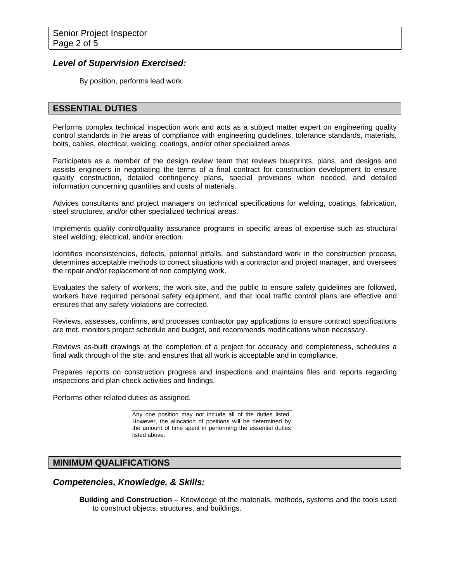### *Level of Supervision Exercised:*

By position, performs lead work.

### **ESSENTIAL DUTIES**

Performs complex technical inspection work and acts as a subject matter expert on engineering quality control standards in the areas of compliance with engineering guidelines, tolerance standards, materials, bolts, cables, electrical, welding, coatings, and/or other specialized areas.

Participates as a member of the design review team that reviews blueprints, plans, and designs and assists engineers in negotiating the terms of a final contract for construction development to ensure quality construction, detailed contingency plans, special provisions when needed, and detailed information concerning quantities and costs of materials.

Advices consultants and project managers on technical specifications for welding, coatings, fabrication, steel structures, and/or other specialized technical areas.

Implements quality control/quality assurance programs in specific areas of expertise such as structural steel welding, electrical, and/or erection.

Identifies inconsistencies, defects, potential pitfalls, and substandard work in the construction process, determines acceptable methods to correct situations with a contractor and project manager, and oversees the repair and/or replacement of non complying work.

Evaluates the safety of workers, the work site, and the public to ensure safety guidelines are followed, workers have required personal safety equipment, and that local traffic control plans are effective and ensures that any safety violations are corrected.

Reviews, assesses, confirms, and processes contractor pay applications to ensure contract specifications are met, monitors project schedule and budget, and recommends modifications when necessary.

Reviews as-built drawings at the completion of a project for accuracy and completeness, schedules a final walk through of the site, and ensures that all work is acceptable and in compliance.

Prepares reports on construction progress and inspections and maintains files and reports regarding inspections and plan check activities and findings.

Performs other related duties as assigned.

Any one position may not include all of the duties listed. However, the allocation of positions will be determined by the amount of time spent in performing the essential duties listed above.

### **MINIMUM QUALIFICATIONS**

### *Competencies, Knowledge, & Skills:*

**Building and Construction** – Knowledge of the materials, methods, systems and the tools used to construct objects, structures, and buildings.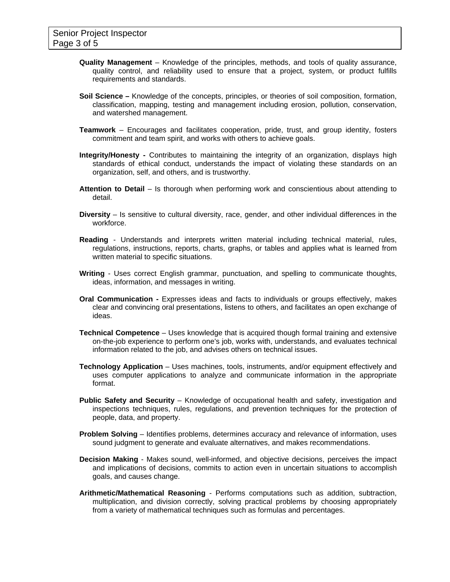- **Quality Management** Knowledge of the principles, methods, and tools of quality assurance, quality control, and reliability used to ensure that a project, system, or product fulfills requirements and standards.
- **Soil Science** Knowledge of the concepts, principles, or theories of soil composition, formation, classification, mapping, testing and management including erosion, pollution, conservation, and watershed management.
- **Teamwork** Encourages and facilitates cooperation, pride, trust, and group identity, fosters commitment and team spirit, and works with others to achieve goals.
- **Integrity/Honesty -** Contributes to maintaining the integrity of an organization, displays high standards of ethical conduct, understands the impact of violating these standards on an organization, self, and others, and is trustworthy.
- **Attention to Detail** Is thorough when performing work and conscientious about attending to detail.
- **Diversity** Is sensitive to cultural diversity, race, gender, and other individual differences in the workforce.
- **Reading** Understands and interprets written material including technical material, rules, regulations, instructions, reports, charts, graphs, or tables and applies what is learned from written material to specific situations.
- **Writing** Uses correct English grammar, punctuation, and spelling to communicate thoughts, ideas, information, and messages in writing.
- **Oral Communication** Expresses ideas and facts to individuals or groups effectively, makes clear and convincing oral presentations, listens to others, and facilitates an open exchange of ideas.
- **Technical Competence** Uses knowledge that is acquired though formal training and extensive on-the-job experience to perform one's job, works with, understands, and evaluates technical information related to the job, and advises others on technical issues.
- **Technology Application** Uses machines, tools, instruments, and/or equipment effectively and uses computer applications to analyze and communicate information in the appropriate format.
- **Public Safety and Security** Knowledge of occupational health and safety, investigation and inspections techniques, rules, regulations, and prevention techniques for the protection of people, data, and property.
- **Problem Solving** Identifies problems, determines accuracy and relevance of information, uses sound judgment to generate and evaluate alternatives, and makes recommendations.
- **Decision Making** Makes sound, well-informed, and objective decisions, perceives the impact and implications of decisions, commits to action even in uncertain situations to accomplish goals, and causes change.
- **Arithmetic/Mathematical Reasoning** Performs computations such as addition, subtraction, multiplication, and division correctly, solving practical problems by choosing appropriately from a variety of mathematical techniques such as formulas and percentages.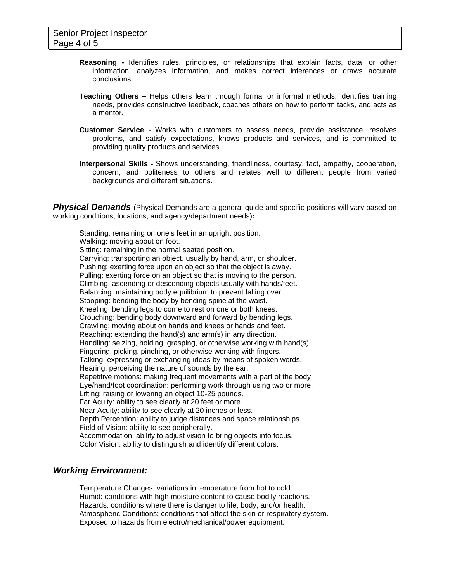- **Reasoning -** Identifies rules, principles, or relationships that explain facts, data, or other information, analyzes information, and makes correct inferences or draws accurate conclusions.
- **Teaching Others** Helps others learn through formal or informal methods, identifies training needs, provides constructive feedback, coaches others on how to perform tacks, and acts as a mentor.
- **Customer Service** Works with customers to assess needs, provide assistance, resolves problems, and satisfy expectations, knows products and services, and is committed to providing quality products and services.
- **Interpersonal Skills** Shows understanding, friendliness, courtesy, tact, empathy, cooperation, concern, and politeness to others and relates well to different people from varied backgrounds and different situations.

**Physical Demands** (Physical Demands are a general guide and specific positions will vary based on working conditions, locations, and agency/department needs)*:* 

Standing: remaining on one's feet in an upright position. Walking: moving about on foot. Sitting: remaining in the normal seated position. Carrying: transporting an object, usually by hand, arm, or shoulder. Pushing: exerting force upon an object so that the object is away. Pulling: exerting force on an object so that is moving to the person. Climbing: ascending or descending objects usually with hands/feet. Balancing: maintaining body equilibrium to prevent falling over. Stooping: bending the body by bending spine at the waist. Kneeling: bending legs to come to rest on one or both knees. Crouching: bending body downward and forward by bending legs. Crawling: moving about on hands and knees or hands and feet. Reaching: extending the hand(s) and arm(s) in any direction. Handling: seizing, holding, grasping, or otherwise working with hand(s). Fingering: picking, pinching, or otherwise working with fingers. Talking: expressing or exchanging ideas by means of spoken words. Hearing: perceiving the nature of sounds by the ear. Repetitive motions: making frequent movements with a part of the body. Eye/hand/foot coordination: performing work through using two or more. Lifting: raising or lowering an object 10-25 pounds. Far Acuity: ability to see clearly at 20 feet or more Near Acuity: ability to see clearly at 20 inches or less. Depth Perception: ability to judge distances and space relationships. Field of Vision: ability to see peripherally. Accommodation: ability to adjust vision to bring objects into focus. Color Vision: ability to distinguish and identify different colors.

### *Working Environment:*

Temperature Changes: variations in temperature from hot to cold. Humid: conditions with high moisture content to cause bodily reactions. Hazards: conditions where there is danger to life, body, and/or health. Atmospheric Conditions: conditions that affect the skin or respiratory system. Exposed to hazards from electro/mechanical/power equipment.